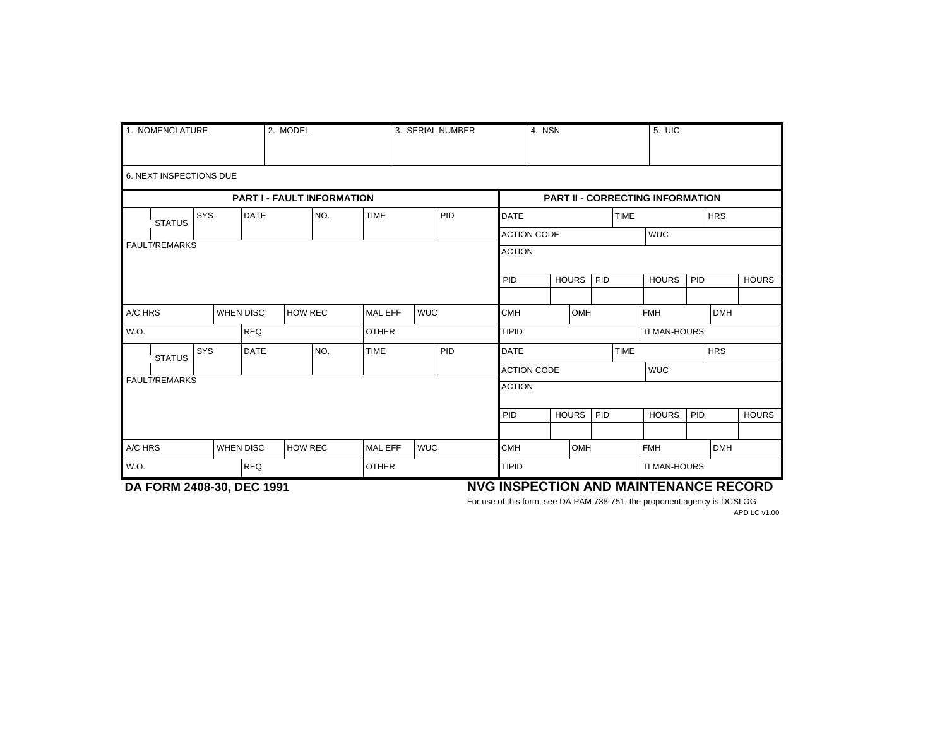| 1. NOMENCLATURE |                                   |     |                  |                  | 2. MODEL       |         |                              | 3. SERIAL NUMBER |     |                     | 4. NSN                                  |              |     |                     | $5.$ UIC                 |              |            |              |  |  |
|-----------------|-----------------------------------|-----|------------------|------------------|----------------|---------|------------------------------|------------------|-----|---------------------|-----------------------------------------|--------------|-----|---------------------|--------------------------|--------------|------------|--------------|--|--|
|                 | 6. NEXT INSPECTIONS DUE           |     |                  |                  |                |         |                              |                  |     |                     |                                         |              |     |                     |                          |              |            |              |  |  |
|                 | <b>PART I - FAULT INFORMATION</b> |     |                  |                  |                |         |                              |                  |     |                     | <b>PART II - CORRECTING INFORMATION</b> |              |     |                     |                          |              |            |              |  |  |
|                 | SYS<br><b>STATUS</b>              |     | <b>DATE</b>      |                  |                | NO.     | <b>TIME</b>                  |                  | PID | <b>DATE</b>         |                                         |              |     | <b>TIME</b>         |                          |              | <b>HRS</b> |              |  |  |
|                 |                                   |     |                  |                  |                |         |                              |                  |     |                     | <b>ACTION CODE</b>                      |              |     |                     | <b>WUC</b>               |              |            |              |  |  |
|                 | <b>FAULT/REMARKS</b>              |     |                  |                  |                |         |                              |                  |     | <b>ACTION</b>       |                                         |              |     |                     |                          |              |            |              |  |  |
|                 |                                   |     |                  |                  |                |         |                              |                  | PID |                     | <b>HOURS</b><br>PID                     |              |     | <b>HOURS</b><br>PID |                          | <b>HOURS</b> |            |              |  |  |
|                 |                                   |     |                  |                  |                |         |                              |                  |     |                     |                                         |              |     |                     |                          |              |            |              |  |  |
| A/C HRS         |                                   |     | <b>WHEN DISC</b> |                  | <b>HOW REC</b> | MAL EFF |                              | <b>WUC</b>       |     | Ісмн                | OMH                                     |              |     |                     | <b>FMH</b><br><b>DMH</b> |              |            |              |  |  |
| W.O.            |                                   |     | <b>REQ</b>       |                  |                |         | <b>OTHER</b>                 |                  |     | TIPID               |                                         |              |     |                     | TI MAN-HOURS             |              |            |              |  |  |
|                 | <b>STATUS</b>                     | SYS |                  | <b>DATE</b>      |                | NO.     | <b>TIME</b>                  |                  | PID | <b>TIME</b><br>DATE |                                         |              |     |                     |                          | <b>HRS</b>   |            |              |  |  |
|                 |                                   |     |                  |                  |                |         |                              |                  |     |                     | <b>ACTION CODE</b>                      |              |     |                     | <b>WUC</b>               |              |            |              |  |  |
|                 | <b>FAULT/REMARKS</b>              |     |                  |                  |                |         |                              |                  |     | <b>ACTION</b>       |                                         |              |     |                     |                          |              |            |              |  |  |
|                 |                                   |     |                  |                  |                |         |                              |                  |     | PID                 |                                         | <b>HOURS</b> | PID |                     | <b>HOURS</b>             | PID          |            | <b>HOURS</b> |  |  |
|                 |                                   |     |                  |                  |                |         |                              |                  |     |                     |                                         |              |     |                     |                          |              |            |              |  |  |
|                 | A/C HRS                           |     |                  | <b>WHEN DISC</b> | <b>HOW REC</b> |         | <b>WUC</b><br><b>MAL EFF</b> |                  |     | <b>CMH</b>          | OMH                                     |              |     |                     | <b>FMH</b>               |              | <b>DMH</b> |              |  |  |
| W.O.            |                                   |     | <b>REQ</b>       |                  |                |         | <b>OTHER</b>                 |                  |     | TIPID               |                                         |              |     |                     | TI MAN-HOURS             |              |            |              |  |  |

## **DA FORM 2408-30, DEC 1991 NVG INSPECTION AND MAINTENANCE RECORD**

For use of this form, see DA PAM 738-751; the proponent agency is DCSLOG APD LC v1.00